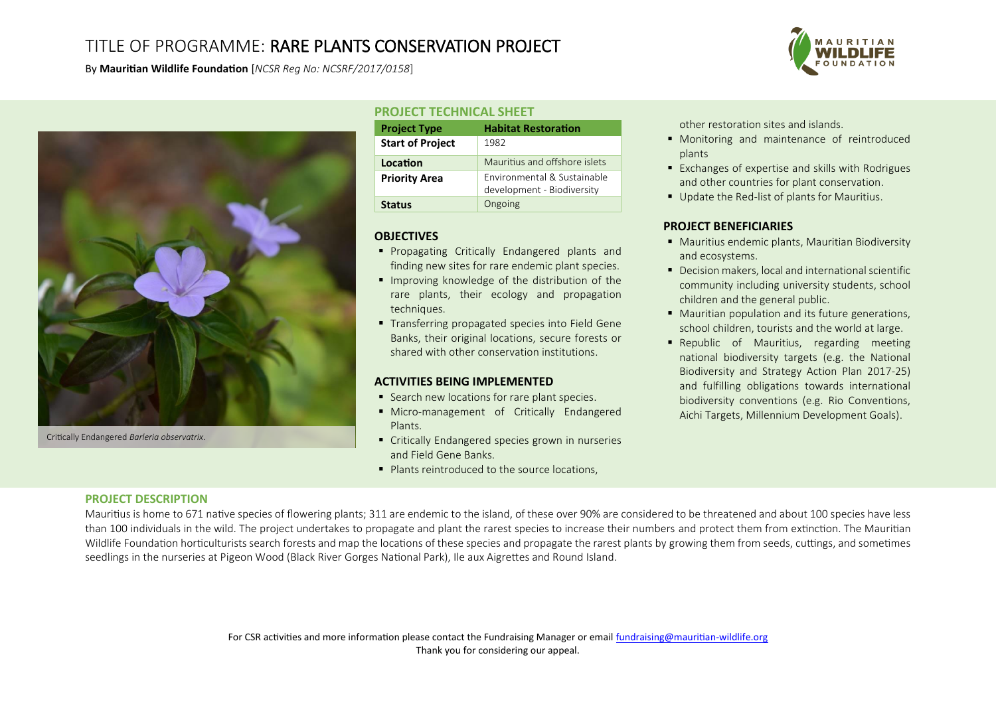# TITLE OF PROGRAMME: RARE PLANTS CONSERVATION PROJECT

By **Mauritian Wildlife Foundation** [*NCSR Reg No: NCSRF/2017/0158*]



Critically Endangered Barleria observatrix.

## **PROJECT TECHNICAL SHEET**

| <b>Project Type</b>     | <b>Habitat Restoration</b>                                |
|-------------------------|-----------------------------------------------------------|
| <b>Start of Project</b> | 1982                                                      |
| Location                | Mauritius and offshore islets                             |
| <b>Priority Area</b>    | Environmental & Sustainable<br>development - Biodiversity |
| <b>Status</b>           | Ongoing                                                   |

### **OBJECTIVES**

- **Propagating Critically Endangered plants and** finding new sites for rare endemic plant species.
- **IMPROVING KNOWLED 19** Improving knowledge of the distribution of the rare plants, their ecology and propagation techniques.
- **Transferring propagated species into Field Gene** Banks, their original locations, secure forests or shared with other conservation institutions.

### **ACTIVITIES BEING IMPLEMENTED**

- Search new locations for rare plant species.
- Micro-management of Critically Endangered Plants.
- Critically Endangered species grown in nurseries and Field Gene Banks.
- Plants reintroduced to the source locations.

other restoration sites and islands.

- Monitoring and maintenance of reintroduced plants
- Exchanges of expertise and skills with Rodrigues and other countries for plant conservation.
- Update the Red-list of plants for Mauritius.

## **PROJECT BENEFICIARIES**

- **Mauritius endemic plants, Mauritian Biodiversity** and ecosystems.
- Decision makers, local and international scientific community including university students, school children and the general public.
- Mauritian population and its future generations, school children, tourists and the world at large.
- **•** Republic of Mauritius, regarding meeting national biodiversity targets (e.g. the National Biodiversity and Strategy Action Plan 2017-25) and fulfilling obligations towards international biodiversity conventions (e.g. Rio Conventions, Aichi Targets, Millennium Development Goals).

### **PROJECT DESCRIPTION**

Mauritius is home to 671 native species of flowering plants; 311 are endemic to the island, of these over 90% are considered to be threatened and about 100 species have less than 100 individuals in the wild. The project undertakes to propagate and plant the rarest species to increase their numbers and protect them from extinction. The Mauritian Wildlife Foundation horticulturists search forests and map the locations of these species and propagate the rarest plants by growing them from seeds, cuttings, and sometimes seedlings in the nurseries at Pigeon Wood (Black River Gorges National Park), Ile aux Aigrettes and Round Island.